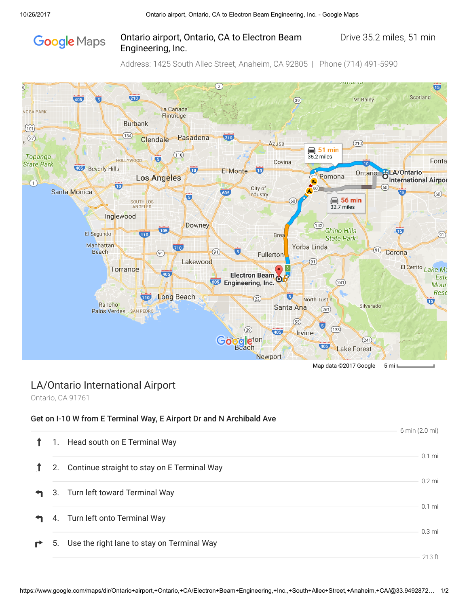# **Google** Maps

### Ontario airport, Ontario, CA to Electron Beam Drive 35.2 miles, 51 min Engineering, Inc.

Address: 1425 South Allec Street, Anaheim, CA 92805 | Phone (714) 491-5990



## LA/Ontario International Airport

Ontario, CA 91761

#### Get on I-10 W from E Terminal Way, E Airport Dr and N Archibald Ave

|   |    |                                               | 6 min (2.0 mi)   |
|---|----|-----------------------------------------------|------------------|
|   | 1. | Head south on E Terminal Way                  |                  |
|   | 2. | Continue straight to stay on E Terminal Way   | $0.1$ mi         |
|   |    | 3. Turn left toward Terminal Way              | $0.2$ mi         |
|   |    | 4. Turn left onto Terminal Way                | $0.1$ mi         |
| r |    | 5. Use the right lane to stay on Terminal Way | $0.3 \text{ mi}$ |
|   |    |                                               | 213 ft           |